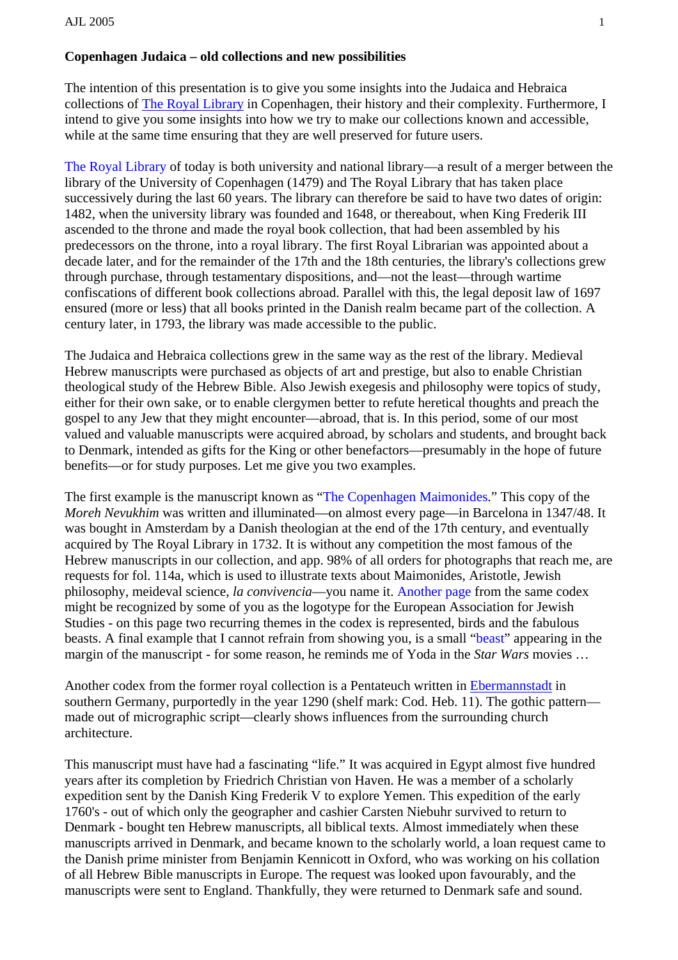## **Copenhagen Judaica – old collections and new possibilities**

The intention of this presentation is to give you some insights into the Judaica and Hebraica collections of [The Royal Library](http://www.jewishlibraries.org/ajlweb/publications/proceedings/proceedings2005/jansson_TheRoyalLibrary.jpg) in Copenhagen, their history and their complexity. Furthermore, I intend to give you some insights into how we try to make our collections known and accessible, while at the same time ensuring that they are well preserved for future users.

[The Royal Library](http://www.kb.dk/index-en.htm) of today is both university and national library—a result of a merger between the library of the University of Copenhagen (1479) and The Royal Library that has taken place successively during the last 60 years. The library can therefore be said to have two dates of origin: 1482, when the university library was founded and 1648, or thereabout, when King Frederik III ascended to the throne and made the royal book collection, that had been assembled by his predecessors on the throne, into a royal library. The first Royal Librarian was appointed about a decade later, and for the remainder of the 17th and the 18th centuries, the library's collections grew through purchase, through testamentary dispositions, and—not the least—through wartime confiscations of different book collections abroad. Parallel with this, the legal deposit law of 1697 ensured (more or less) that all books printed in the Danish realm became part of the collection. A century later, in 1793, the library was made accessible to the public.

The Judaica and Hebraica collections grew in the same way as the rest of the library. Medieval Hebrew manuscripts were purchased as objects of art and prestige, but also to enable Christian theological study of the Hebrew Bible. Also Jewish exegesis and philosophy were topics of study, either for their own sake, or to enable clergymen better to refute heretical thoughts and preach the gospel to any Jew that they might encounter—abroad, that is. In this period, some of our most valued and valuable manuscripts were acquired abroad, by scholars and students, and brought back to Denmark, intended as gifts for the King or other benefactors—presumably in the hope of future benefits—or for study purposes. Let me give you two examples.

The first example is the manuscript known as ["The Copenhagen Maimonides.](http://base.kb.dk/manus_pub/cv/manus/ManusIntro.xsql?nnoc=manus_pub&p_ManusId=293&p_Lang=main)" This copy of the *Moreh Nevukhim* was written and illuminated—on almost every page—in Barcelona in 1347/48. It was bought in Amsterdam by a Danish theologian at the end of the 17th century, and eventually acquired by The Royal Library in 1732. It is without any competition the most famous of the Hebrew manuscripts in our collection, and app. 98% of all orders for photographs that reach me, are requests for fol. 114a, which is used to illustrate texts about Maimonides, Aristotle, Jewish philosophy, meideval science, *la convivencia*—you name it. [Another page](http://base.kb.dk/manus_pub/cv/manus/GotoManusPage.xsql?nnoc=manus_pub&p_ManusId=293&p_Lang=main&p_Mode=img&p_GotoPageNo=112b) from the same codex might be recognized by some of you as the logotype for the European Association for Jewish Studies - on this page two recurring themes in the codex is represented, birds and the fabulous beasts. A final example that I cannot refrain from showing you, is a small "[beast"](http://base.kb.dk/manus_pub/cv/manus/GotoManusPage.xsql?nnoc=manus_pub&p_ManusId=293&p_Lang=main&p_Mode=img&p_GotoPageNo=110a) appearing in the margin of the manuscript - for some reason, he reminds me of Yoda in the *Star Wars* movies …

Another codex from the former royal collection is a Pentateuch written in [Ebermannstadt](http://www.jewishlibraries.org/ajlweb/publications/proceedings/proceedings2005/jansson_Ebermannstadt.jpg) in southern Germany, purportedly in the year 1290 (shelf mark: Cod. Heb. 11). The gothic pattern made out of micrographic script—clearly shows influences from the surrounding church architecture.

This manuscript must have had a fascinating "life." It was acquired in Egypt almost five hundred years after its completion by Friedrich Christian von Haven. He was a member of a scholarly expedition sent by the Danish King Frederik V to explore Yemen. This expedition of the early 1760's - out of which only the geographer and cashier Carsten Niebuhr survived to return to Denmark - bought ten Hebrew manuscripts, all biblical texts. Almost immediately when these manuscripts arrived in Denmark, and became known to the scholarly world, a loan request came to the Danish prime minister from Benjamin Kennicott in Oxford, who was working on his collation of all Hebrew Bible manuscripts in Europe. The request was looked upon favourably, and the manuscripts were sent to England. Thankfully, they were returned to Denmark safe and sound.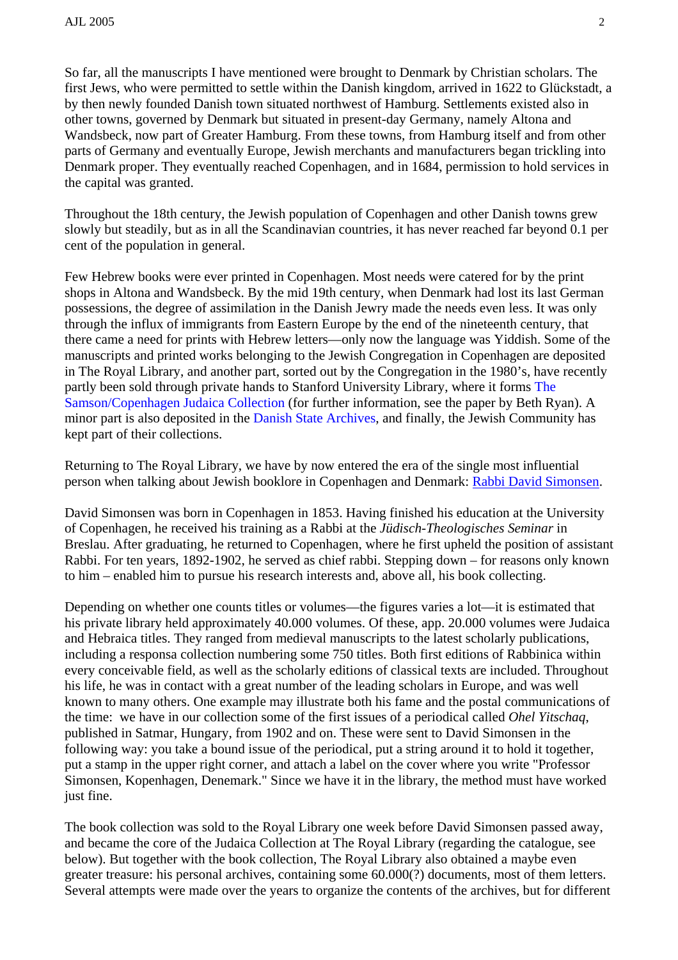So far, all the manuscripts I have mentioned were brought to Denmark by Christian scholars. The first Jews, who were permitted to settle within the Danish kingdom, arrived in 1622 to Glückstadt, a by then newly founded Danish town situated northwest of Hamburg. Settlements existed also in other towns, governed by Denmark but situated in present-day Germany, namely Altona and Wandsbeck, now part of Greater Hamburg. From these towns, from Hamburg itself and from other parts of Germany and eventually Europe, Jewish merchants and manufacturers began trickling into Denmark proper. They eventually reached Copenhagen, and in 1684, permission to hold services in the capital was granted.

Throughout the 18th century, the Jewish population of Copenhagen and other Danish towns grew slowly but steadily, but as in all the Scandinavian countries, it has never reached far beyond 0.1 per cent of the population in general.

Few Hebrew books were ever printed in Copenhagen. Most needs were catered for by the print shops in Altona and Wandsbeck. By the mid 19th century, when Denmark had lost its last German possessions, the degree of assimilation in the Danish Jewry made the needs even less. It was only through the influx of immigrants from Eastern Europe by the end of the nineteenth century, that there came a need for prints with Hebrew letters—only now the language was Yiddish. Some of the manuscripts and printed works belonging to the Jewish Congregation in Copenhagen are deposited in The Royal Library, and another part, sorted out by the Congregation in the 1980's, have recently partly been sold through private hands to Stanford University Library, where it forms [The](http://www-sul.stanford.edu/depts/spc/rbc/samson.html)  [Samson/Copenhagen Judaica Collection](http://www-sul.stanford.edu/depts/spc/rbc/samson.html) (for further information, see the paper by Beth Ryan). A minor part is also deposited in the [Danish State Archives,](http://www.sa.dk/sa/omarkiverne/english/default.htm) and finally, the Jewish Community has kept part of their collections.

Returning to The Royal Library, we have by now entered the era of the single most influential person when talking about Jewish booklore in Copenhagen and Denmark: [Rabbi David Simonsen.](http://www.jewishlibraries.org/ajlweb/publications/proceedings/proceedings2005/jansson_RabbiDavidSimonsen.jpg)

David Simonsen was born in Copenhagen in 1853. Having finished his education at the University of Copenhagen, he received his training as a Rabbi at the *Jüdisch-Theologisches Seminar* in Breslau. After graduating, he returned to Copenhagen, where he first upheld the position of assistant Rabbi. For ten years, 1892-1902, he served as chief rabbi. Stepping down – for reasons only known to him – enabled him to pursue his research interests and, above all, his book collecting.

Depending on whether one counts titles or volumes—the figures varies a lot—it is estimated that his private library held approximately 40.000 volumes. Of these, app. 20.000 volumes were Judaica and Hebraica titles. They ranged from medieval manuscripts to the latest scholarly publications, including a responsa collection numbering some 750 titles. Both first editions of Rabbinica within every conceivable field, as well as the scholarly editions of classical texts are included. Throughout his life, he was in contact with a great number of the leading scholars in Europe, and was well known to many others. One example may illustrate both his fame and the postal communications of the time: we have in our collection some of the first issues of a periodical called *Ohel Yitschaq*, published in Satmar, Hungary, from 1902 and on. These were sent to David Simonsen in the following way: you take a bound issue of the periodical, put a string around it to hold it together, put a stamp in the upper right corner, and attach a label on the cover where you write "Professor Simonsen, Kopenhagen, Denemark." Since we have it in the library, the method must have worked just fine.

The book collection was sold to the Royal Library one week before David Simonsen passed away, and became the core of the Judaica Collection at The Royal Library (regarding the catalogue, see below). But together with the book collection, The Royal Library also obtained a maybe even greater treasure: his personal archives, containing some 60.000(?) documents, most of them letters. Several attempts were made over the years to organize the contents of the archives, but for different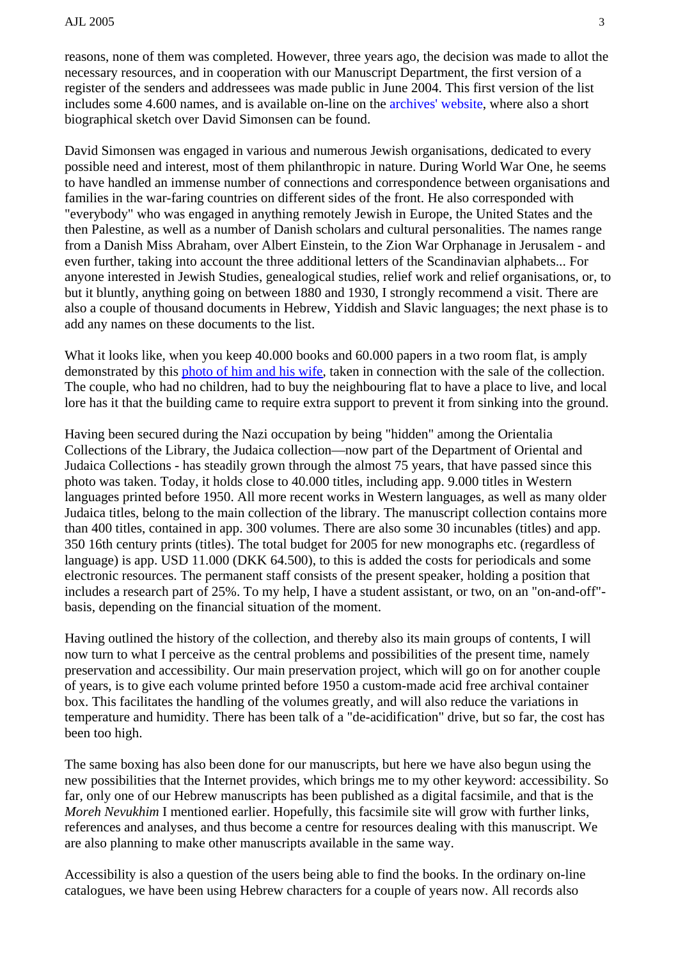reasons, none of them was completed. However, three years ago, the decision was made to allot the necessary resources, and in cooperation with our Manuscript Department, the first version of a register of the senders and addressees was made public in June 2004. This first version of the list includes some 4.600 names, and is available on-line on the [archives' website,](http://www.kb.dk/simonsen) where also a short biographical sketch over David Simonsen can be found.

David Simonsen was engaged in various and numerous Jewish organisations, dedicated to every possible need and interest, most of them philanthropic in nature. During World War One, he seems to have handled an immense number of connections and correspondence between organisations and families in the war-faring countries on different sides of the front. He also corresponded with "everybody" who was engaged in anything remotely Jewish in Europe, the United States and the then Palestine, as well as a number of Danish scholars and cultural personalities. The names range from a Danish Miss Abraham, over Albert Einstein, to the Zion War Orphanage in Jerusalem - and even further, taking into account the three additional letters of the Scandinavian alphabets... For anyone interested in Jewish Studies, genealogical studies, relief work and relief organisations, or, to but it bluntly, anything going on between 1880 and 1930, I strongly recommend a visit. There are also a couple of thousand documents in Hebrew, Yiddish and Slavic languages; the next phase is to add any names on these documents to the list.

What it looks like, when you keep 40,000 books and 60,000 papers in a two room flat, is amply demonstrated by this [photo of him and his wife](http://www.jewishlibraries.org/ajlweb/publications/proceedings/proceedings2005/jansson_DavidSimonsenandhiswife.jpg), taken in connection with the sale of the collection. The couple, who had no children, had to buy the neighbouring flat to have a place to live, and local lore has it that the building came to require extra support to prevent it from sinking into the ground.

Having been secured during the Nazi occupation by being "hidden" among the Orientalia Collections of the Library, the Judaica collection—now part of the Department of Oriental and Judaica Collections - has steadily grown through the almost 75 years, that have passed since this photo was taken. Today, it holds close to 40.000 titles, including app. 9.000 titles in Western languages printed before 1950. All more recent works in Western languages, as well as many older Judaica titles, belong to the main collection of the library. The manuscript collection contains more than 400 titles, contained in app. 300 volumes. There are also some 30 incunables (titles) and app. 350 16th century prints (titles). The total budget for 2005 for new monographs etc. (regardless of language) is app. USD 11.000 (DKK 64.500), to this is added the costs for periodicals and some electronic resources. The permanent staff consists of the present speaker, holding a position that includes a research part of 25%. To my help, I have a student assistant, or two, on an "on-and-off" basis, depending on the financial situation of the moment.

Having outlined the history of the collection, and thereby also its main groups of contents, I will now turn to what I perceive as the central problems and possibilities of the present time, namely preservation and accessibility. Our main preservation project, which will go on for another couple of years, is to give each volume printed before 1950 a custom-made acid free archival container box. This facilitates the handling of the volumes greatly, and will also reduce the variations in temperature and humidity. There has been talk of a "de-acidification" drive, but so far, the cost has been too high.

The same boxing has also been done for our manuscripts, but here we have also begun using the new possibilities that the Internet provides, which brings me to my other keyword: accessibility. So far, only one of our Hebrew manuscripts has been published as a digital facsimile, and that is the *Moreh Nevukhim* I mentioned earlier. Hopefully, this facsimile site will grow with further links, references and analyses, and thus become a centre for resources dealing with this manuscript. We are also planning to make other manuscripts available in the same way.

Accessibility is also a question of the users being able to find the books. In the ordinary on-line catalogues, we have been using Hebrew characters for a couple of years now. All records also